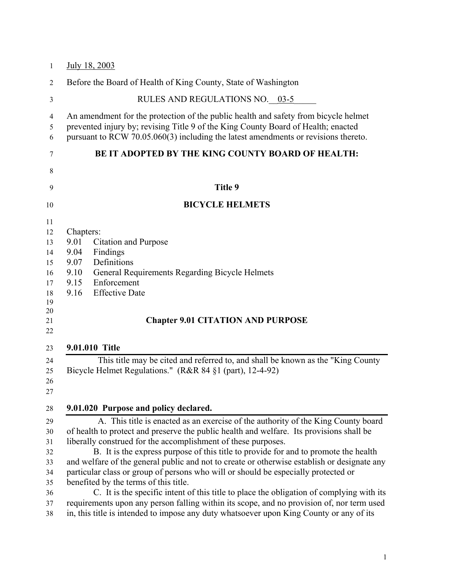| 1                                                                                      | July 18, 2003                                                                                                                                                                                                                                                                                                                                                                                                                                                                                                                                                                                                                                                                                                                                                                                                                                           |
|----------------------------------------------------------------------------------------|---------------------------------------------------------------------------------------------------------------------------------------------------------------------------------------------------------------------------------------------------------------------------------------------------------------------------------------------------------------------------------------------------------------------------------------------------------------------------------------------------------------------------------------------------------------------------------------------------------------------------------------------------------------------------------------------------------------------------------------------------------------------------------------------------------------------------------------------------------|
| $\overline{2}$                                                                         | Before the Board of Health of King County, State of Washington                                                                                                                                                                                                                                                                                                                                                                                                                                                                                                                                                                                                                                                                                                                                                                                          |
| $\mathfrak{Z}$                                                                         | RULES AND REGULATIONS NO. 03-5                                                                                                                                                                                                                                                                                                                                                                                                                                                                                                                                                                                                                                                                                                                                                                                                                          |
| 4<br>5<br>6                                                                            | An amendment for the protection of the public health and safety from bicycle helmet<br>prevented injury by; revising Title 9 of the King County Board of Health; enacted<br>pursuant to RCW 70.05.060(3) including the latest amendments or revisions thereto.                                                                                                                                                                                                                                                                                                                                                                                                                                                                                                                                                                                          |
| 7                                                                                      | <b>BE IT ADOPTED BY THE KING COUNTY BOARD OF HEALTH:</b>                                                                                                                                                                                                                                                                                                                                                                                                                                                                                                                                                                                                                                                                                                                                                                                                |
| 8                                                                                      |                                                                                                                                                                                                                                                                                                                                                                                                                                                                                                                                                                                                                                                                                                                                                                                                                                                         |
| 9                                                                                      | Title 9                                                                                                                                                                                                                                                                                                                                                                                                                                                                                                                                                                                                                                                                                                                                                                                                                                                 |
| 10                                                                                     | <b>BICYCLE HELMETS</b>                                                                                                                                                                                                                                                                                                                                                                                                                                                                                                                                                                                                                                                                                                                                                                                                                                  |
| 11<br>12<br>13<br>14<br>15<br>16<br>17<br>18<br>19<br>20<br>21<br>22<br>23<br>24<br>25 | Chapters:<br>9.01<br><b>Citation and Purpose</b><br>Findings<br>9.04<br>Definitions<br>9.07<br>9.10<br>General Requirements Regarding Bicycle Helmets<br>9.15<br>Enforcement<br><b>Effective Date</b><br>9.16<br><b>Chapter 9.01 CITATION AND PURPOSE</b><br>9.01.010 Title<br>This title may be cited and referred to, and shall be known as the "King County"<br>Bicycle Helmet Regulations." (R&R 84 §1 (part), 12-4-92)                                                                                                                                                                                                                                                                                                                                                                                                                             |
| 26<br>27<br>28                                                                         | 9.01.020 Purpose and policy declared.                                                                                                                                                                                                                                                                                                                                                                                                                                                                                                                                                                                                                                                                                                                                                                                                                   |
| 29<br>30<br>31<br>32<br>33<br>34<br>35<br>36<br>37<br>38                               | A. This title is enacted as an exercise of the authority of the King County board<br>of health to protect and preserve the public health and welfare. Its provisions shall be<br>liberally construed for the accomplishment of these purposes.<br>B. It is the express purpose of this title to provide for and to promote the health<br>and welfare of the general public and not to create or otherwise establish or designate any<br>particular class or group of persons who will or should be especially protected or<br>benefited by the terms of this title.<br>C. It is the specific intent of this title to place the obligation of complying with its<br>requirements upon any person falling within its scope, and no provision of, nor term used<br>in, this title is intended to impose any duty whatsoever upon King County or any of its |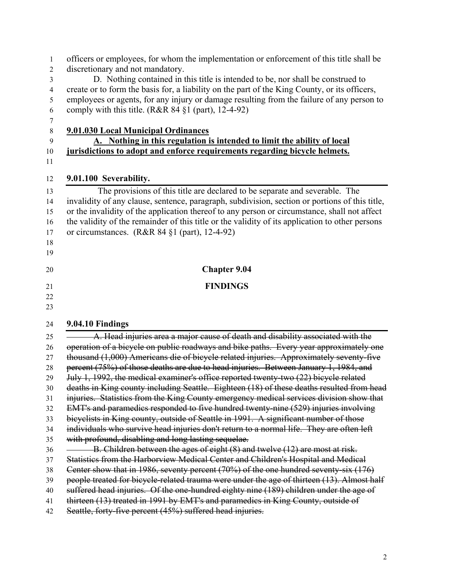| 1              | officers or employees, for whom the implementation or enforcement of this title shall be        |
|----------------|-------------------------------------------------------------------------------------------------|
| $\overline{2}$ | discretionary and not mandatory.                                                                |
| 3              | D. Nothing contained in this title is intended to be, nor shall be construed to                 |
| 4              | create or to form the basis for, a liability on the part of the King County, or its officers,   |
| 5              | employees or agents, for any injury or damage resulting from the failure of any person to       |
| 6              | comply with this title. (R&R 84 §1 (part), 12-4-92)                                             |
| 7              |                                                                                                 |
| $\,8\,$        | <b>9.01.030 Local Municipal Ordinances</b>                                                      |
| 9              | A. Nothing in this regulation is intended to limit the ability of local                         |
| 10             | jurisdictions to adopt and enforce requirements regarding bicycle helmets.                      |
| 11             |                                                                                                 |
| 12             | 9.01.100 Severability.                                                                          |
| 13             | The provisions of this title are declared to be separate and severable. The                     |
| 14             | invalidity of any clause, sentence, paragraph, subdivision, section or portions of this title,  |
| 15             | or the invalidity of the application thereof to any person or circumstance, shall not affect    |
| 16             | the validity of the remainder of this title or the validity of its application to other persons |
| 17             | or circumstances. $(R&R84\$ §1 (part), 12-4-92)                                                 |
| 18             |                                                                                                 |
| 19             |                                                                                                 |
| 20             | <b>Chapter 9.04</b>                                                                             |
| 21             | <b>FINDINGS</b>                                                                                 |
| 22             |                                                                                                 |
| 23             |                                                                                                 |
| 24             | 9.04.10 Findings                                                                                |
| 25             | A. Head injuries area a major cause of death and disability associated with the                 |
| 26             | operation of a bicycle on public roadways and bike paths. Every year approximately one          |
| 27             | thousand (1,000) Americans die of bicycle related injuries. Approximately seventy-five          |
| 28             | percent (75%) of those deaths are due to head injuries. Between January 1, 1984, and            |
| 29             | July 1, 1992, the medical examiner's office reported twenty-two (22) bicycle related            |
| 30             | deaths in King county including Seattle. Eighteen (18) of these deaths resulted from head       |
| 31             | injuries. Statistics from the King County emergency medical services division show that         |
| 32             | EMT's and paramedics responded to five hundred twenty-nine (529) injuries involving             |
| 33             | bicyclists in King county, outside of Seattle in 1991. A significant number of those            |
| 34             | individuals who survive head injuries don't return to a normal life. They are often left        |
| 35             | with profound, disabling and long lasting sequelae.                                             |
| 36             | B. Children between the ages of eight (8) and twelve (12) are most at risk.                     |
| 37             | Statistics from the Harborview Medical Center and Children's Hospital and Medical               |
| 38             | Center show that in 1986, seventy percent (70%) of the one hundred seventy-six (176)            |
| 39             | people treated for bicycle-related trauma were under the age of thirteen (13). Almost half      |
| 40             | suffered head injuries. Of the one-hundred eighty nine (189) children under the age of          |
| 41             | thirteen (13) treated in 1991 by EMT's and paramedics in King County, outside of                |
| 42             | Seattle, forty-five percent (45%) suffered head injuries.                                       |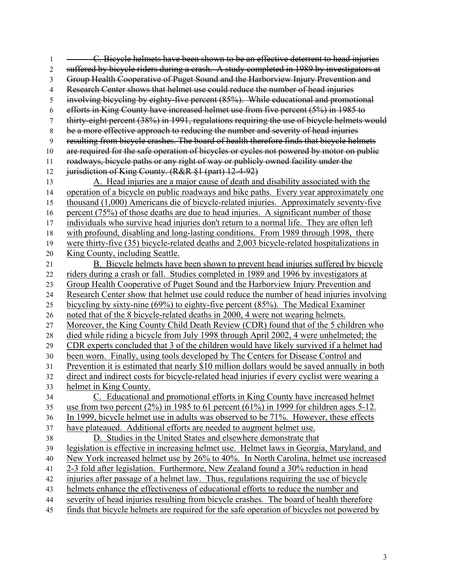1 <del>C. Bicycle helmets have been shown to be an effective deterrent to head injuries</del> suffered by bicycle riders during a crash. A study completed in 1989 by investigators at Group Health Cooperative of Puget Sound and the Harborview Injury Prevention and 4 Research Center shows that helmet use could reduce the number of head injuries involving bicycling by eighty-five percent (85%). While educational and promotional efforts in King County have increased helmet use from five percent (5%) in 1985 to thirty-eight percent (38%) in 1991, regulations requiring the use of bicycle helmets would be a more effective approach to reducing the number and severity of head injuries resulting from bicycle crashes. The board of health therefore finds that bicycle helmets 10 are required for the safe operation of bicycles or cycles not powered by motor on public roadways, bicycle paths or any right of way or publicly owned facility under the 12 jurisdiction of King County. (R&R §1 (part) 12-4-92) A. Head injuries are a major cause of death and disability associated with the operation of a bicycle on public roadways and bike paths. Every year approximately one thousand (1,000) Americans die of bicycle-related injuries. Approximately seventy-five percent (75%) of those deaths are due to head injuries. A significant number of those individuals who survive head injuries don't return to a normal life. They are often left with profound, disabling and long-lasting conditions. From 1989 through 1998, there were thirty-five (35) bicycle-related deaths and 2,003 bicycle-related hospitalizations in King County, including Seattle. B. Bicycle helmets have been shown to prevent head injuries suffered by bicycle riders during a crash or fall. Studies completed in 1989 and 1996 by investigators at Group Health Cooperative of Puget Sound and the Harborview Injury Prevention and Research Center show that helmet use could reduce the number of head injuries involving bicycling by sixty-nine (69%) to eighty-five percent (85%). The Medical Examiner noted that of the 8 bicycle-related deaths in 2000, 4 were not wearing helmets. Moreover, the King County Child Death Review (CDR) found that of the 5 children who died while riding a bicycle from July 1998 through April 2002, 4 were unhelmeted; the CDR experts concluded that 3 of the children would have likely survived if a helmet had been worn. Finally, using tools developed by The Centers for Disease Control and Prevention it is estimated that nearly \$10 million dollars would be saved annually in both direct and indirect costs for bicycle-related head injuries if every cyclist were wearing a helmet in King County. C. Educational and promotional efforts in King County have increased helmet use from two percent (2%) in 1985 to 61 percent (61%) in 1999 for children ages 5-12. In 1999, bicycle helmet use in adults was observed to be 71%. However, these effects have plateaued. Additional efforts are needed to augment helmet use. D. Studies in the United States and elsewhere demonstrate that legislation is effective in increasing helmet use. Helmet laws in Georgia, Maryland, and New York increased helmet use by 26% to 40%. In North Carolina, helmet use increased 2-3 fold after legislation. Furthermore, New Zealand found a 30% reduction in head injuries after passage of a helmet law. Thus, regulations requiring the use of bicycle helmets enhance the effectiveness of educational efforts to reduce the number and severity of head injuries resulting from bicycle crashes. The board of health therefore finds that bicycle helmets are required for the safe operation of bicycles not powered by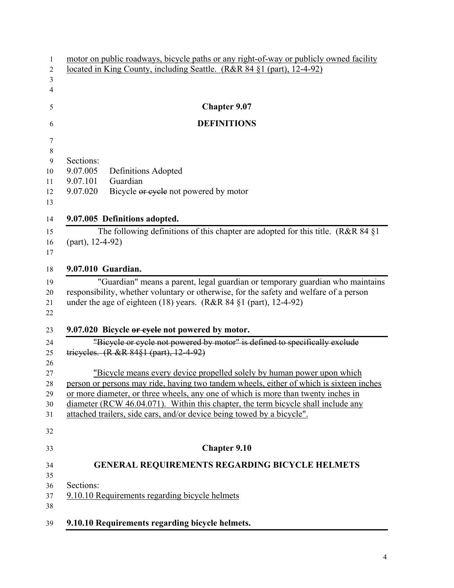| 1              | motor on public roadways, bicycle paths or any right-of-way or publicly owned facility                                                                                 |
|----------------|------------------------------------------------------------------------------------------------------------------------------------------------------------------------|
| 2              | located in King County, including Seattle. (R&R 84 §1 (part), 12-4-92)                                                                                                 |
| 3              |                                                                                                                                                                        |
| $\overline{4}$ |                                                                                                                                                                        |
| 5              | <b>Chapter 9.07</b>                                                                                                                                                    |
| 6              | <b>DEFINITIONS</b>                                                                                                                                                     |
| 7              |                                                                                                                                                                        |
| $\,8\,$        |                                                                                                                                                                        |
| $\mathbf{9}$   | Sections:                                                                                                                                                              |
| 10             | 9.07.005<br>Definitions Adopted                                                                                                                                        |
| 11             | Guardian<br>9.07.101                                                                                                                                                   |
| 12             | 9.07.020<br>Bicycle or eyele not powered by motor                                                                                                                      |
| 13             |                                                                                                                                                                        |
| 14             | 9.07.005 Definitions adopted.                                                                                                                                          |
| 15             | The following definitions of this chapter are adopted for this title. (R&R 84 $\S1$ )                                                                                  |
| 16             | $(part)$ , 12-4-92)                                                                                                                                                    |
| 17             |                                                                                                                                                                        |
| 18             | 9.07.010 Guardian.                                                                                                                                                     |
| 19             | "Guardian" means a parent, legal guardian or temporary guardian who maintains                                                                                          |
| 20             | responsibility, whether voluntary or otherwise, for the safety and welfare of a person                                                                                 |
| 21             | under the age of eighteen $(18)$ years. $(R&R84 \S1$ (part), 12-4-92)                                                                                                  |
| 22             |                                                                                                                                                                        |
|                |                                                                                                                                                                        |
| 23             | 9.07.020 Bicycle or eyele not powered by motor.                                                                                                                        |
| 24             | "Bicycle or cycle not powered by motor" is defined to specifically exclude                                                                                             |
| 25             | trieveles. (R & R 84§1 (part), 12-4-92)                                                                                                                                |
| 26             |                                                                                                                                                                        |
| 27             | "Bicycle means every device propelled solely by human power upon which                                                                                                 |
| 28             | person or persons may ride, having two tandem wheels, either of which is sixteen inches                                                                                |
| 29<br>30       | or more diameter, or three wheels, any one of which is more than twenty inches in<br>diameter (RCW 46.04.071). Within this chapter, the term bicycle shall include any |
| 31             | attached trailers, side cars, and/or device being towed by a bicycle".                                                                                                 |
|                |                                                                                                                                                                        |
| 32             |                                                                                                                                                                        |
|                |                                                                                                                                                                        |
| 33             | <b>Chapter 9.10</b>                                                                                                                                                    |
| 34             | <b>GENERAL REQUIREMENTS REGARDING BICYCLE HELMETS</b>                                                                                                                  |
| 35             |                                                                                                                                                                        |
| 36             | Sections:                                                                                                                                                              |
| 37             | 9.10.10 Requirements regarding bicycle helmets                                                                                                                         |
| 38             |                                                                                                                                                                        |
|                |                                                                                                                                                                        |
| 39             | 9.10.10 Requirements regarding bicycle helmets.                                                                                                                        |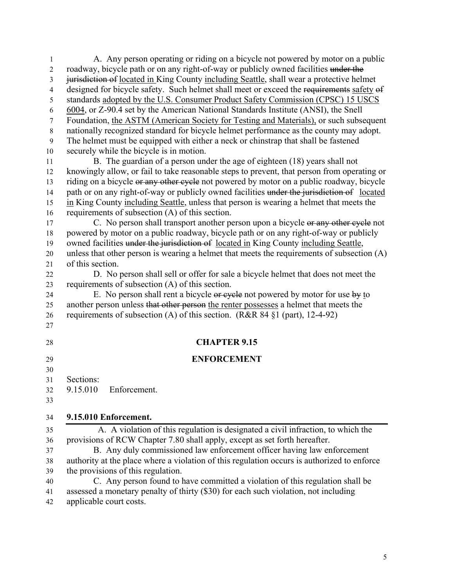| 1              | A. Any person operating or riding on a bicycle not powered by motor on a public             |
|----------------|---------------------------------------------------------------------------------------------|
| $\overline{2}$ | roadway, bicycle path or on any right-of-way or publicly owned facilities under the         |
| 3              | jurisdiction of located in King County including Seattle, shall wear a protective helmet    |
| $\overline{4}$ | designed for bicycle safety. Such helmet shall meet or exceed the requirements safety of    |
| 5              | standards adopted by the U.S. Consumer Product Safety Commission (CPSC) 15 USCS             |
| 6              | 6004, or Z-90.4 set by the American National Standards Institute (ANSI), the Snell          |
| $\tau$         | Foundation, the ASTM (American Society for Testing and Materials), or such subsequent       |
| $\,8\,$        | nationally recognized standard for bicycle helmet performance as the county may adopt.      |
| $\mathbf{9}$   | The helmet must be equipped with either a neck or chinstrap that shall be fastened          |
| 10             | securely while the bicycle is in motion.                                                    |
| 11             | B. The guardian of a person under the age of eighteen (18) years shall not                  |
| 12             | knowingly allow, or fail to take reasonable steps to prevent, that person from operating or |
| 13             | riding on a bicycle or any other cycle not powered by motor on a public roadway, bicycle    |
| 14             | path or on any right-of-way or publicly owned facilities under the jurisdiction of located  |
| 15             | in King County including Seattle, unless that person is wearing a helmet that meets the     |
| 16             | requirements of subsection (A) of this section.                                             |
| 17             | C. No person shall transport another person upon a bicycle or any other eyele not           |
| 18             | powered by motor on a public roadway, bicycle path or on any right-of-way or publicly       |
| 19             | owned facilities under the jurisdiction of located in King County including Seattle,        |
| 20             | unless that other person is wearing a helmet that meets the requirements of subsection (A)  |
| 21             | of this section.                                                                            |
| 22             | D. No person shall sell or offer for sale a bicycle helmet that does not meet the           |
| 23             | requirements of subsection (A) of this section.                                             |
| 24             | E. No person shall rent a bicycle or eyele not powered by motor for use by to               |
| 25             | another person unless that other person the renter possesses a helmet that meets the        |
| 26             | requirements of subsection (A) of this section. (R&R 84 $\S1$ (part), 12-4-92)              |
| 27             |                                                                                             |
| 28             | <b>CHAPTER 9.15</b>                                                                         |
| 29             | <b>ENFORCEMENT</b>                                                                          |
| 30             |                                                                                             |
| 31             | Sections:                                                                                   |
| 32             | 9.15.010<br>Enforcement.                                                                    |
| 33             |                                                                                             |
|                |                                                                                             |
| 34             | 9.15.010 Enforcement.                                                                       |
| 35             | A. A violation of this regulation is designated a civil infraction, to which the            |
| 36             | provisions of RCW Chapter 7.80 shall apply, except as set forth hereafter.                  |
| 37             | B. Any duly commissioned law enforcement officer having law enforcement                     |
| 38             | authority at the place where a violation of this regulation occurs is authorized to enforce |
| 39             | the provisions of this regulation.                                                          |
| 40             | C. Any person found to have committed a violation of this regulation shall be               |
| 41             | assessed a monetary penalty of thirty (\$30) for each such violation, not including         |
| 42             | applicable court costs.                                                                     |